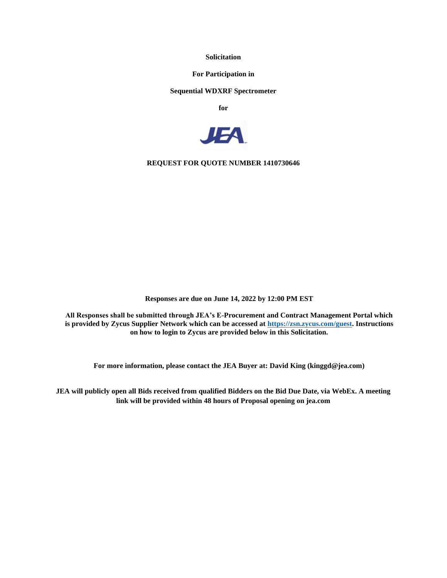**Solicitation**

**For Participation in**

## **Sequential WDXRF Spectrometer**

**for**



**REQUEST FOR QUOTE NUMBER 1410730646**

**Responses are due on June 14, 2022 by 12:00 PM EST**

**All Responses shall be submitted through JEA's E-Procurement and Contract Management Portal which is provided by Zycus Supplier Network which can be accessed at [https://zsn.zycus.com/guest.](https://zsn.zycus.com/guest) Instructions on how to login to Zycus are provided below in this Solicitation.**

**For more information, please contact the JEA Buyer at: David King (kinggd@jea.com)**

**JEA will publicly open all Bids received from qualified Bidders on the Bid Due Date, via WebEx. A meeting link will be provided within 48 hours of Proposal opening on jea.com**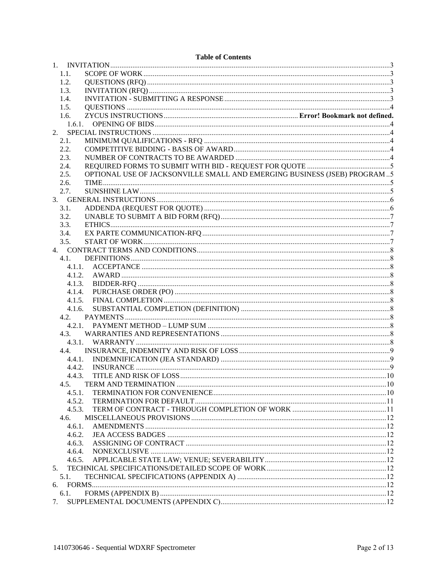| 1.1.                                                                              |  |
|-----------------------------------------------------------------------------------|--|
| 1.2.                                                                              |  |
| 1.3.                                                                              |  |
| 1.4.                                                                              |  |
| 1.5.                                                                              |  |
| 1.6.                                                                              |  |
| 1.6.1.                                                                            |  |
| 2.                                                                                |  |
| 2.1.                                                                              |  |
| 2.2.                                                                              |  |
| 2.3.                                                                              |  |
| 2.4.                                                                              |  |
| OPTIONAL USE OF JACKSONVILLE SMALL AND EMERGING BUSINESS (JSEB) PROGRAM 5<br>2.5. |  |
| 2.6.                                                                              |  |
| 2.7.                                                                              |  |
|                                                                                   |  |
| 3.1.                                                                              |  |
| 3.2.                                                                              |  |
| 3.3.                                                                              |  |
| 3.4.                                                                              |  |
| 3.5.                                                                              |  |
|                                                                                   |  |
| 4.1.                                                                              |  |
|                                                                                   |  |
|                                                                                   |  |
|                                                                                   |  |
| 4.1.4.                                                                            |  |
| 4.1.5.                                                                            |  |
| 4.1.6.                                                                            |  |
| 4.2.                                                                              |  |
|                                                                                   |  |
|                                                                                   |  |
| 4.3.                                                                              |  |
| 4.3.1.                                                                            |  |
| 4.4.                                                                              |  |
|                                                                                   |  |
|                                                                                   |  |
| 4.4.3.                                                                            |  |
| 4.5.                                                                              |  |
| 4.5.1.                                                                            |  |
| 4.5.2.                                                                            |  |
| 4.5.3.                                                                            |  |
| 4.6.                                                                              |  |
| 4.6.1.                                                                            |  |
| 4.6.2.                                                                            |  |
| 4.6.3.                                                                            |  |
| 4.6.4.                                                                            |  |
| 4.6.5.                                                                            |  |
| 5.                                                                                |  |
| 5.1.                                                                              |  |
| 6.                                                                                |  |
| 6.1.                                                                              |  |
| 7.                                                                                |  |

# **Table of Contents**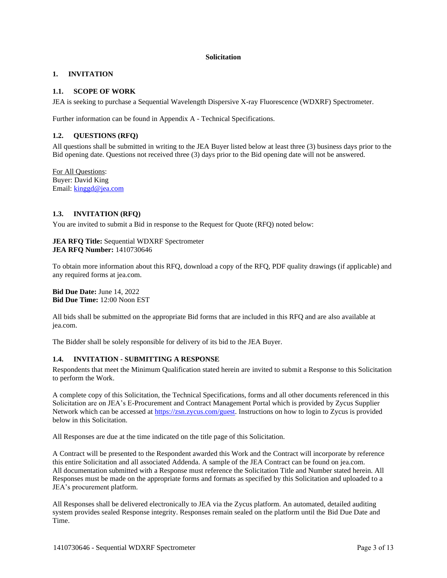### **Solicitation**

# <span id="page-2-0"></span>**1. INVITATION**

# <span id="page-2-1"></span>**1.1. SCOPE OF WORK**

JEA is seeking to purchase a Sequential Wavelength Dispersive X-ray Fluorescence (WDXRF) Spectrometer.

<span id="page-2-2"></span>Further information can be found in Appendix A - Technical Specifications.

# **1.2. QUESTIONS (RFQ)**

All questions shall be submitted in writing to the JEA Buyer listed below at least three (3) business days prior to the Bid opening date. Questions not received three (3) days prior to the Bid opening date will not be answered.

For All Questions: Buyer: David King Email: [kinggd@jea.com](mailto:kinggd@jea.com)

# <span id="page-2-3"></span>**1.3. INVITATION (RFQ)**

You are invited to submit a Bid in response to the Request for Quote (RFQ) noted below:

## **JEA RFQ Title:** Sequential WDXRF Spectrometer **JEA RFQ Number:** 1410730646

To obtain more information about this RFQ, download a copy of the RFQ, PDF quality drawings (if applicable) and any required forms at jea.com.

**Bid Due Date:** June 14, 2022 **Bid Due Time:** 12:00 Noon EST

All bids shall be submitted on the appropriate Bid forms that are included in this RFQ and are also available at jea.com.

<span id="page-2-4"></span>The Bidder shall be solely responsible for delivery of its bid to the JEA Buyer.

# **1.4. INVITATION - SUBMITTING A RESPONSE**

Respondents that meet the Minimum Qualification stated herein are invited to submit a Response to this Solicitation to perform the Work.

A complete copy of this Solicitation, the Technical Specifications, forms and all other documents referenced in this Solicitation are on JEA's E-Procurement and Contract Management Portal which is provided by Zycus Supplier Network which can be accessed at [https://zsn.zycus.com/guest.](https://zsn.zycus.com/guest) Instructions on how to login to Zycus is provided below in this Solicitation.

All Responses are due at the time indicated on the title page of this Solicitation.

A Contract will be presented to the Respondent awarded this Work and the Contract will incorporate by reference this entire Solicitation and all associated Addenda. A sample of the JEA Contract can be found on jea.com. All documentation submitted with a Response must reference the Solicitation Title and Number stated herein. All Responses must be made on the appropriate forms and formats as specified by this Solicitation and uploaded to a JEA's procurement platform.

All Responses shall be delivered electronically to JEA via the Zycus platform. An automated, detailed auditing system provides sealed Response integrity. Responses remain sealed on the platform until the Bid Due Date and Time.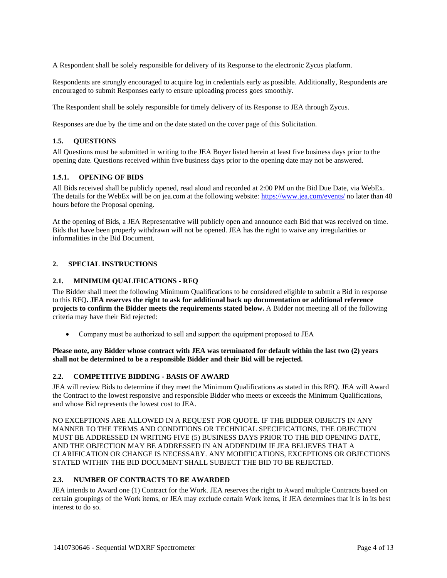A Respondent shall be solely responsible for delivery of its Response to the electronic Zycus platform.

Respondents are strongly encouraged to acquire log in credentials early as possible. Additionally, Respondents are encouraged to submit Responses early to ensure uploading process goes smoothly.

The Respondent shall be solely responsible for timely delivery of its Response to JEA through Zycus.

<span id="page-3-0"></span>Responses are due by the time and on the date stated on the cover page of this Solicitation.

# **1.5. QUESTIONS**

All Questions must be submitted in writing to the JEA Buyer listed herein at least five business days prior to the opening date. Questions received within five business days prior to the opening date may not be answered.

# <span id="page-3-1"></span>**1.5.1. OPENING OF BIDS**

All Bids received shall be publicly opened, read aloud and recorded at 2:00 PM on the Bid Due Date, via WebEx. The details for the WebEx will be on jea.com at the following website:<https://www.jea.com/events/> no later than 48 hours before the Proposal opening.

At the opening of Bids, a JEA Representative will publicly open and announce each Bid that was received on time. Bids that have been properly withdrawn will not be opened. JEA has the right to waive any irregularities or informalities in the Bid Document.

## <span id="page-3-2"></span>**2. SPECIAL INSTRUCTIONS**

## <span id="page-3-3"></span>**2.1. MINIMUM QUALIFICATIONS - RFQ**

The Bidder shall meet the following Minimum Qualifications to be considered eligible to submit a Bid in response to this RFQ**. JEA reserves the right to ask for additional back up documentation or additional reference projects to confirm the Bidder meets the requirements stated below.** A Bidder not meeting all of the following criteria may have their Bid rejected:

• Company must be authorized to sell and support the equipment proposed to JEA

Please note, any Bidder whose contract with JEA was terminated for default within the last two (2) years **shall not be determined to be a responsible Bidder and their Bid will be rejected.**

#### <span id="page-3-4"></span>**2.2. COMPETITIVE BIDDING - BASIS OF AWARD**

JEA will review Bids to determine if they meet the Minimum Qualifications as stated in this RFQ. JEA will Award the Contract to the lowest responsive and responsible Bidder who meets or exceeds the Minimum Qualifications, and whose Bid represents the lowest cost to JEA.

NO EXCEPTIONS ARE ALLOWED IN A REQUEST FOR QUOTE. IF THE BIDDER OBJECTS IN ANY MANNER TO THE TERMS AND CONDITIONS OR TECHNICAL SPECIFICATIONS, THE OBJECTION MUST BE ADDRESSED IN WRITING FIVE (5) BUSINESS DAYS PRIOR TO THE BID OPENING DATE, AND THE OBJECTION MAY BE ADDRESSED IN AN ADDENDUM IF JEA BELIEVES THAT A CLARIFICATION OR CHANGE IS NECESSARY. ANY MODIFICATIONS, EXCEPTIONS OR OBJECTIONS STATED WITHIN THE BID DOCUMENT SHALL SUBJECT THE BID TO BE REJECTED.

# <span id="page-3-5"></span>**2.3. NUMBER OF CONTRACTS TO BE AWARDED**

JEA intends to Award one (1) Contract for the Work. JEA reserves the right to Award multiple Contracts based on certain groupings of the Work items, or JEA may exclude certain Work items, if JEA determines that it is in its best interest to do so.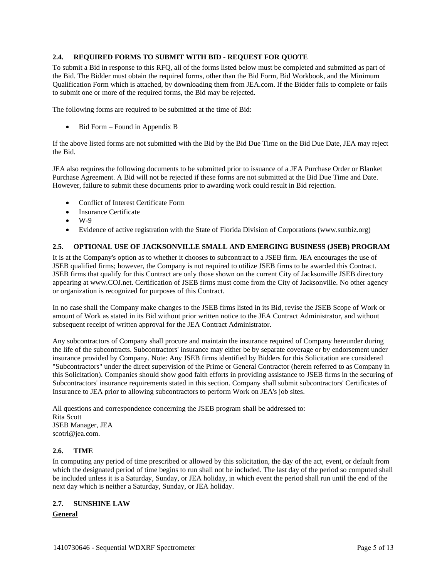# <span id="page-4-0"></span>**2.4. REQUIRED FORMS TO SUBMIT WITH BID - REQUEST FOR QUOTE**

To submit a Bid in response to this RFQ, all of the forms listed below must be completed and submitted as part of the Bid. The Bidder must obtain the required forms, other than the Bid Form, Bid Workbook, and the Minimum Qualification Form which is attached, by downloading them from JEA.com. If the Bidder fails to complete or fails to submit one or more of the required forms, the Bid may be rejected.

The following forms are required to be submitted at the time of Bid:

Bid Form – Found in Appendix B

If the above listed forms are not submitted with the Bid by the Bid Due Time on the Bid Due Date, JEA may reject the Bid.

JEA also requires the following documents to be submitted prior to issuance of a JEA Purchase Order or Blanket Purchase Agreement. A Bid will not be rejected if these forms are not submitted at the Bid Due Time and Date. However, failure to submit these documents prior to awarding work could result in Bid rejection.

- Conflict of Interest Certificate Form
- Insurance Certificate
- $\bullet$  W<sub>-9</sub>
- Evidence of active registration with the State of Florida Division of Corporations (www.sunbiz.org)

# <span id="page-4-1"></span>**2.5. OPTIONAL USE OF JACKSONVILLE SMALL AND EMERGING BUSINESS (JSEB) PROGRAM**

It is at the Company's option as to whether it chooses to subcontract to a JSEB firm. JEA encourages the use of JSEB qualified firms; however, the Company is not required to utilize JSEB firms to be awarded this Contract. JSEB firms that qualify for this Contract are only those shown on the current City of Jacksonville JSEB directory appearing at www.COJ.net. Certification of JSEB firms must come from the City of Jacksonville. No other agency or organization is recognized for purposes of this Contract.

In no case shall the Company make changes to the JSEB firms listed in its Bid, revise the JSEB Scope of Work or amount of Work as stated in its Bid without prior written notice to the JEA Contract Administrator, and without subsequent receipt of written approval for the JEA Contract Administrator.

Any subcontractors of Company shall procure and maintain the insurance required of Company hereunder during the life of the subcontracts. Subcontractors' insurance may either be by separate coverage or by endorsement under insurance provided by Company. Note: Any JSEB firms identified by Bidders for this Solicitation are considered "Subcontractors" under the direct supervision of the Prime or General Contractor (herein referred to as Company in this Solicitation). Companies should show good faith efforts in providing assistance to JSEB firms in the securing of Subcontractors' insurance requirements stated in this section. Company shall submit subcontractors' Certificates of Insurance to JEA prior to allowing subcontractors to perform Work on JEA's job sites.

All questions and correspondence concerning the JSEB program shall be addressed to: Rita Scott JSEB Manager, JEA scotrl@jea.com.

# <span id="page-4-2"></span>**2.6. TIME**

In computing any period of time prescribed or allowed by this solicitation, the day of the act, event, or default from which the designated period of time begins to run shall not be included. The last day of the period so computed shall be included unless it is a Saturday, Sunday, or JEA holiday, in which event the period shall run until the end of the next day which is neither a Saturday, Sunday, or JEA holiday.

# <span id="page-4-3"></span>**2.7. SUNSHINE LAW**

# **General**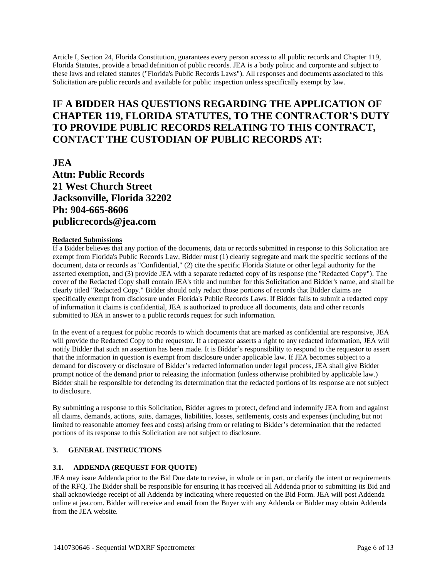Article I, Section 24, Florida Constitution, guarantees every person access to all public records and Chapter 119, Florida Statutes, provide a broad definition of public records. JEA is a body politic and corporate and subject to these laws and related statutes ("Florida's Public Records Laws"). All responses and documents associated to this Solicitation are public records and available for public inspection unless specifically exempt by law.

# **IF A BIDDER HAS QUESTIONS REGARDING THE APPLICATION OF CHAPTER 119, FLORIDA STATUTES, TO THE CONTRACTOR'S DUTY TO PROVIDE PUBLIC RECORDS RELATING TO THIS CONTRACT, CONTACT THE CUSTODIAN OF PUBLIC RECORDS AT:**

**JEA Attn: Public Records 21 West Church Street Jacksonville, Florida 32202 Ph: 904-665-8606 publicrecords@jea.com**

## **Redacted Submissions**

If a Bidder believes that any portion of the documents, data or records submitted in response to this Solicitation are exempt from Florida's Public Records Law, Bidder must (1) clearly segregate and mark the specific sections of the document, data or records as "Confidential," (2) cite the specific Florida Statute or other legal authority for the asserted exemption, and (3) provide JEA with a separate redacted copy of its response (the "Redacted Copy"). The cover of the Redacted Copy shall contain JEA's title and number for this Solicitation and Bidder's name, and shall be clearly titled "Redacted Copy." Bidder should only redact those portions of records that Bidder claims are specifically exempt from disclosure under Florida's Public Records Laws. If Bidder fails to submit a redacted copy of information it claims is confidential, JEA is authorized to produce all documents, data and other records submitted to JEA in answer to a public records request for such information.

In the event of a request for public records to which documents that are marked as confidential are responsive, JEA will provide the Redacted Copy to the requestor. If a requestor asserts a right to any redacted information, JEA will notify Bidder that such an assertion has been made. It is Bidder's responsibility to respond to the requestor to assert that the information in question is exempt from disclosure under applicable law. If JEA becomes subject to a demand for discovery or disclosure of Bidder's redacted information under legal process, JEA shall give Bidder prompt notice of the demand prior to releasing the information (unless otherwise prohibited by applicable law.) Bidder shall be responsible for defending its determination that the redacted portions of its response are not subject to disclosure.

By submitting a response to this Solicitation, Bidder agrees to protect, defend and indemnify JEA from and against all claims, demands, actions, suits, damages, liabilities, losses, settlements, costs and expenses (including but not limited to reasonable attorney fees and costs) arising from or relating to Bidder's determination that the redacted portions of its response to this Solicitation are not subject to disclosure.

# <span id="page-5-0"></span>**3. GENERAL INSTRUCTIONS**

# <span id="page-5-1"></span>**3.1. ADDENDA (REQUEST FOR QUOTE)**

JEA may issue Addenda prior to the Bid Due date to revise, in whole or in part, or clarify the intent or requirements of the RFQ. The Bidder shall be responsible for ensuring it has received all Addenda prior to submitting its Bid and shall acknowledge receipt of all Addenda by indicating where requested on the Bid Form. JEA will post Addenda online at jea.com. Bidder will receive and email from the Buyer with any Addenda or Bidder may obtain Addenda from the JEA website.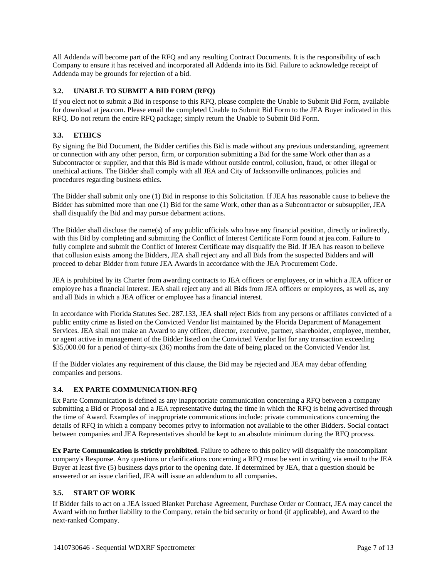All Addenda will become part of the RFQ and any resulting Contract Documents. It is the responsibility of each Company to ensure it has received and incorporated all Addenda into its Bid. Failure to acknowledge receipt of Addenda may be grounds for rejection of a bid.

# <span id="page-6-0"></span>**3.2. UNABLE TO SUBMIT A BID FORM (RFQ)**

If you elect not to submit a Bid in response to this RFQ, please complete the Unable to Submit Bid Form, available for download at jea.com. Please email the completed Unable to Submit Bid Form to the JEA Buyer indicated in this RFQ. Do not return the entire RFQ package; simply return the Unable to Submit Bid Form.

# <span id="page-6-1"></span>**3.3. ETHICS**

By signing the Bid Document, the Bidder certifies this Bid is made without any previous understanding, agreement or connection with any other person, firm, or corporation submitting a Bid for the same Work other than as a Subcontractor or supplier, and that this Bid is made without outside control, collusion, fraud, or other illegal or unethical actions. The Bidder shall comply with all JEA and City of Jacksonville ordinances, policies and procedures regarding business ethics.

The Bidder shall submit only one (1) Bid in response to this Solicitation. If JEA has reasonable cause to believe the Bidder has submitted more than one (1) Bid for the same Work, other than as a Subcontractor or subsupplier, JEA shall disqualify the Bid and may pursue debarment actions.

The Bidder shall disclose the name(s) of any public officials who have any financial position, directly or indirectly, with this Bid by completing and submitting the Conflict of Interest Certificate Form found at jea.com. Failure to fully complete and submit the Conflict of Interest Certificate may disqualify the Bid. If JEA has reason to believe that collusion exists among the Bidders, JEA shall reject any and all Bids from the suspected Bidders and will proceed to debar Bidder from future JEA Awards in accordance with the JEA Procurement Code.

JEA is prohibited by its Charter from awarding contracts to JEA officers or employees, or in which a JEA officer or employee has a financial interest. JEA shall reject any and all Bids from JEA officers or employees, as well as, any and all Bids in which a JEA officer or employee has a financial interest.

In accordance with Florida Statutes Sec. 287.133, JEA shall reject Bids from any persons or affiliates convicted of a public entity crime as listed on the Convicted Vendor list maintained by the Florida Department of Management Services. JEA shall not make an Award to any officer, director, executive, partner, shareholder, employee, member, or agent active in management of the Bidder listed on the Convicted Vendor list for any transaction exceeding \$35,000.00 for a period of thirty-six (36) months from the date of being placed on the Convicted Vendor list.

If the Bidder violates any requirement of this clause, the Bid may be rejected and JEA may debar offending companies and persons.

# <span id="page-6-2"></span>**3.4. EX PARTE COMMUNICATION-RFQ**

Ex Parte Communication is defined as any inappropriate communication concerning a RFQ between a company submitting a Bid or Proposal and a JEA representative during the time in which the RFQ is being advertised through the time of Award. Examples of inappropriate communications include: private communications concerning the details of RFQ in which a company becomes privy to information not available to the other Bidders. Social contact between companies and JEA Representatives should be kept to an absolute minimum during the RFQ process.

**Ex Parte Communication is strictly prohibited.** Failure to adhere to this policy will disqualify the noncompliant company's Response. Any questions or clarifications concerning a RFQ must be sent in writing via email to the JEA Buyer at least five (5) business days prior to the opening date. If determined by JEA, that a question should be answered or an issue clarified, JEA will issue an addendum to all companies.

# <span id="page-6-3"></span>**3.5. START OF WORK**

If Bidder fails to act on a JEA issued Blanket Purchase Agreement, Purchase Order or Contract, JEA may cancel the Award with no further liability to the Company, retain the bid security or bond (if applicable), and Award to the next-ranked Company.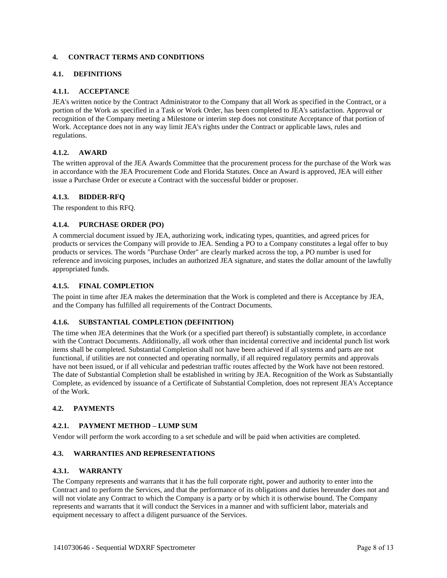## <span id="page-7-0"></span>**4. CONTRACT TERMS AND CONDITIONS**

# <span id="page-7-1"></span>**4.1. DEFINITIONS**

## <span id="page-7-2"></span>**4.1.1. ACCEPTANCE**

JEA's written notice by the Contract Administrator to the Company that all Work as specified in the Contract, or a portion of the Work as specified in a Task or Work Order, has been completed to JEA's satisfaction. Approval or recognition of the Company meeting a Milestone or interim step does not constitute Acceptance of that portion of Work. Acceptance does not in any way limit JEA's rights under the Contract or applicable laws, rules and regulations.

# <span id="page-7-3"></span>**4.1.2. AWARD**

The written approval of the JEA Awards Committee that the procurement process for the purchase of the Work was in accordance with the JEA Procurement Code and Florida Statutes. Once an Award is approved, JEA will either issue a Purchase Order or execute a Contract with the successful bidder or proposer.

# <span id="page-7-4"></span>**4.1.3. BIDDER-RFQ**

<span id="page-7-5"></span>The respondent to this RFQ.

## **4.1.4. PURCHASE ORDER (PO)**

A commercial document issued by JEA, authorizing work, indicating types, quantities, and agreed prices for products or services the Company will provide to JEA. Sending a PO to a Company constitutes a legal offer to buy products or services. The words "Purchase Order" are clearly marked across the top, a PO number is used for reference and invoicing purposes, includes an authorized JEA signature, and states the dollar amount of the lawfully appropriated funds.

#### <span id="page-7-6"></span>**4.1.5. FINAL COMPLETION**

The point in time after JEA makes the determination that the Work is completed and there is Acceptance by JEA, and the Company has fulfilled all requirements of the Contract Documents.

#### <span id="page-7-7"></span>**4.1.6. SUBSTANTIAL COMPLETION (DEFINITION)**

The time when JEA determines that the Work (or a specified part thereof) is substantially complete, in accordance with the Contract Documents. Additionally, all work other than incidental corrective and incidental punch list work items shall be completed. Substantial Completion shall not have been achieved if all systems and parts are not functional, if utilities are not connected and operating normally, if all required regulatory permits and approvals have not been issued, or if all vehicular and pedestrian traffic routes affected by the Work have not been restored. The date of Substantial Completion shall be established in writing by JEA. Recognition of the Work as Substantially Complete, as evidenced by issuance of a Certificate of Substantial Completion, does not represent JEA's Acceptance of the Work.

# <span id="page-7-8"></span>**4.2. PAYMENTS**

## <span id="page-7-9"></span>**4.2.1. PAYMENT METHOD – LUMP SUM**

<span id="page-7-10"></span>Vendor will perform the work according to a set schedule and will be paid when activities are completed.

# **4.3. WARRANTIES AND REPRESENTATIONS**

## <span id="page-7-11"></span>**4.3.1. WARRANTY**

The Company represents and warrants that it has the full corporate right, power and authority to enter into the Contract and to perform the Services, and that the performance of its obligations and duties hereunder does not and will not violate any Contract to which the Company is a party or by which it is otherwise bound. The Company represents and warrants that it will conduct the Services in a manner and with sufficient labor, materials and equipment necessary to affect a diligent pursuance of the Services.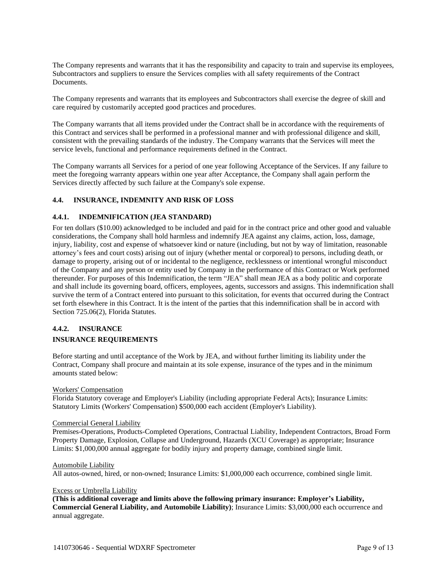The Company represents and warrants that it has the responsibility and capacity to train and supervise its employees, Subcontractors and suppliers to ensure the Services complies with all safety requirements of the Contract **Documents** 

The Company represents and warrants that its employees and Subcontractors shall exercise the degree of skill and care required by customarily accepted good practices and procedures.

The Company warrants that all items provided under the Contract shall be in accordance with the requirements of this Contract and services shall be performed in a professional manner and with professional diligence and skill, consistent with the prevailing standards of the industry. The Company warrants that the Services will meet the service levels, functional and performance requirements defined in the Contract.

The Company warrants all Services for a period of one year following Acceptance of the Services. If any failure to meet the foregoing warranty appears within one year after Acceptance, the Company shall again perform the Services directly affected by such failure at the Company's sole expense.

## <span id="page-8-0"></span>**4.4. INSURANCE, INDEMNITY AND RISK OF LOSS**

## <span id="page-8-1"></span>**4.4.1. INDEMNIFICATION (JEA STANDARD)**

For ten dollars (\$10.00) acknowledged to be included and paid for in the contract price and other good and valuable considerations, the Company shall hold harmless and indemnify JEA against any claims, action, loss, damage, injury, liability, cost and expense of whatsoever kind or nature (including, but not by way of limitation, reasonable attorney's fees and court costs) arising out of injury (whether mental or corporeal) to persons, including death, or damage to property, arising out of or incidental to the negligence, recklessness or intentional wrongful misconduct of the Company and any person or entity used by Company in the performance of this Contract or Work performed thereunder. For purposes of this Indemnification, the term "JEA" shall mean JEA as a body politic and corporate and shall include its governing board, officers, employees, agents, successors and assigns. This indemnification shall survive the term of a Contract entered into pursuant to this solicitation, for events that occurred during the Contract set forth elsewhere in this Contract. It is the intent of the parties that this indemnification shall be in accord with Section 725.06(2), Florida Statutes.

## <span id="page-8-2"></span>**4.4.2. INSURANCE**

## **INSURANCE REQUIREMENTS**

Before starting and until acceptance of the Work by JEA, and without further limiting its liability under the Contract, Company shall procure and maintain at its sole expense, insurance of the types and in the minimum amounts stated below:

#### Workers' Compensation

Florida Statutory coverage and Employer's Liability (including appropriate Federal Acts); Insurance Limits: Statutory Limits (Workers' Compensation) \$500,000 each accident (Employer's Liability).

#### Commercial General Liability

Premises-Operations, Products-Completed Operations, Contractual Liability, Independent Contractors, Broad Form Property Damage, Explosion, Collapse and Underground, Hazards (XCU Coverage) as appropriate; Insurance Limits: \$1,000,000 annual aggregate for bodily injury and property damage, combined single limit.

#### Automobile Liability

All autos-owned, hired, or non-owned; Insurance Limits: \$1,000,000 each occurrence, combined single limit.

#### Excess or Umbrella Liability

**(This is additional coverage and limits above the following primary insurance: Employer's Liability, Commercial General Liability, and Automobile Liability)**; Insurance Limits: \$3,000,000 each occurrence and annual aggregate.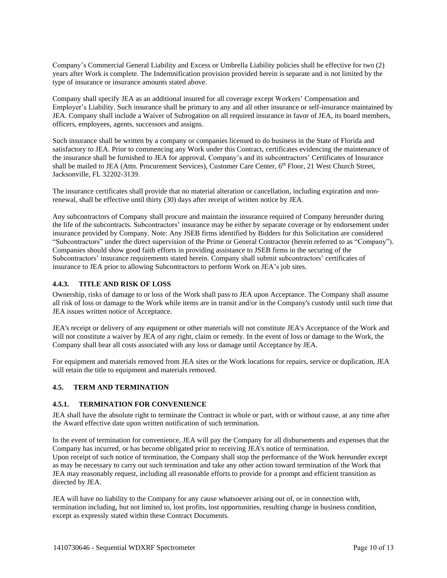Company's Commercial General Liability and Excess or Umbrella Liability policies shall be effective for two (2) years after Work is complete. The Indemnification provision provided herein is separate and is not limited by the type of insurance or insurance amounts stated above.

Company shall specify JEA as an additional insured for all coverage except Workers' Compensation and Employer's Liability. Such insurance shall be primary to any and all other insurance or self-insurance maintained by JEA. Company shall include a Waiver of Subrogation on all required insurance in favor of JEA, its board members, officers, employees, agents, successors and assigns.

Such insurance shall be written by a company or companies licensed to do business in the State of Florida and satisfactory to JEA. Prior to commencing any Work under this Contract, certificates evidencing the maintenance of the insurance shall be furnished to JEA for approval. Company's and its subcontractors' Certificates of Insurance shall be mailed to JEA (Attn. Procurement Services), Customer Care Center, 6<sup>th</sup> Floor, 21 West Church Street, Jacksonville, FL 32202-3139.

The insurance certificates shall provide that no material alteration or cancellation, including expiration and nonrenewal, shall be effective until thirty (30) days after receipt of written notice by JEA.

Any subcontractors of Company shall procure and maintain the insurance required of Company hereunder during the life of the subcontracts. Subcontractors' insurance may be either by separate coverage or by endorsement under insurance provided by Company. Note: Any JSEB firms identified by Bidders for this Solicitation are considered "Subcontractors" under the direct supervision of the Prime or General Contractor (herein referred to as "Company"). Companies should show good faith efforts in providing assistance to JSEB firms in the securing of the Subcontractors' insurance requirements stated herein. Company shall submit subcontractors' certificates of insurance to JEA prior to allowing Subcontractors to perform Work on JEA's job sites.

## <span id="page-9-0"></span>**4.4.3. TITLE AND RISK OF LOSS**

Ownership, risks of damage to or loss of the Work shall pass to JEA upon Acceptance. The Company shall assume all risk of loss or damage to the Work while items are in transit and/or in the Company's custody until such time that JEA issues written notice of Acceptance.

JEA's receipt or delivery of any equipment or other materials will not constitute JEA's Acceptance of the Work and will not constitute a waiver by JEA of any right, claim or remedy. In the event of loss or damage to the Work, the Company shall bear all costs associated with any loss or damage until Acceptance by JEA.

For equipment and materials removed from JEA sites or the Work locations for repairs, service or duplication, JEA will retain the title to equipment and materials removed.

#### <span id="page-9-1"></span>**4.5. TERM AND TERMINATION**

#### <span id="page-9-2"></span>**4.5.1. TERMINATION FOR CONVENIENCE**

JEA shall have the absolute right to terminate the Contract in whole or part, with or without cause, at any time after the Award effective date upon written notification of such termination.

In the event of termination for convenience, JEA will pay the Company for all disbursements and expenses that the Company has incurred, or has become obligated prior to receiving JEA's notice of termination. Upon receipt of such notice of termination, the Company shall stop the performance of the Work hereunder except as may be necessary to carry out such termination and take any other action toward termination of the Work that JEA may reasonably request, including all reasonable efforts to provide for a prompt and efficient transition as directed by JEA.

JEA will have no liability to the Company for any cause whatsoever arising out of, or in connection with, termination including, but not limited to, lost profits, lost opportunities, resulting change in business condition, except as expressly stated within these Contract Documents.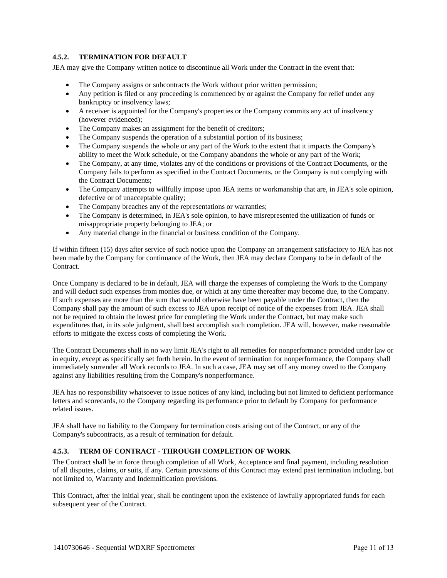# <span id="page-10-0"></span>**4.5.2. TERMINATION FOR DEFAULT**

JEA may give the Company written notice to discontinue all Work under the Contract in the event that:

- The Company assigns or subcontracts the Work without prior written permission;
- Any petition is filed or any proceeding is commenced by or against the Company for relief under any bankruptcy or insolvency laws;
- A receiver is appointed for the Company's properties or the Company commits any act of insolvency (however evidenced);
- The Company makes an assignment for the benefit of creditors;
- The Company suspends the operation of a substantial portion of its business;
- The Company suspends the whole or any part of the Work to the extent that it impacts the Company's ability to meet the Work schedule, or the Company abandons the whole or any part of the Work;
- The Company, at any time, violates any of the conditions or provisions of the Contract Documents, or the Company fails to perform as specified in the Contract Documents, or the Company is not complying with the Contract Documents;
- The Company attempts to willfully impose upon JEA items or workmanship that are, in JEA's sole opinion, defective or of unacceptable quality;
- The Company breaches any of the representations or warranties;
- The Company is determined, in JEA's sole opinion, to have misrepresented the utilization of funds or misappropriate property belonging to JEA; or
- Any material change in the financial or business condition of the Company.

If within fifteen (15) days after service of such notice upon the Company an arrangement satisfactory to JEA has not been made by the Company for continuance of the Work, then JEA may declare Company to be in default of the Contract.

Once Company is declared to be in default, JEA will charge the expenses of completing the Work to the Company and will deduct such expenses from monies due, or which at any time thereafter may become due, to the Company. If such expenses are more than the sum that would otherwise have been payable under the Contract, then the Company shall pay the amount of such excess to JEA upon receipt of notice of the expenses from JEA. JEA shall not be required to obtain the lowest price for completing the Work under the Contract, but may make such expenditures that, in its sole judgment, shall best accomplish such completion. JEA will, however, make reasonable efforts to mitigate the excess costs of completing the Work.

The Contract Documents shall in no way limit JEA's right to all remedies for nonperformance provided under law or in equity, except as specifically set forth herein. In the event of termination for nonperformance, the Company shall immediately surrender all Work records to JEA. In such a case, JEA may set off any money owed to the Company against any liabilities resulting from the Company's nonperformance.

JEA has no responsibility whatsoever to issue notices of any kind, including but not limited to deficient performance letters and scorecards, to the Company regarding its performance prior to default by Company for performance related issues.

JEA shall have no liability to the Company for termination costs arising out of the Contract, or any of the Company's subcontracts, as a result of termination for default.

# <span id="page-10-1"></span>**4.5.3. TERM OF CONTRACT - THROUGH COMPLETION OF WORK**

The Contract shall be in force through completion of all Work, Acceptance and final payment, including resolution of all disputes, claims, or suits, if any. Certain provisions of this Contract may extend past termination including, but not limited to, Warranty and Indemnification provisions.

This Contract, after the initial year, shall be contingent upon the existence of lawfully appropriated funds for each subsequent year of the Contract.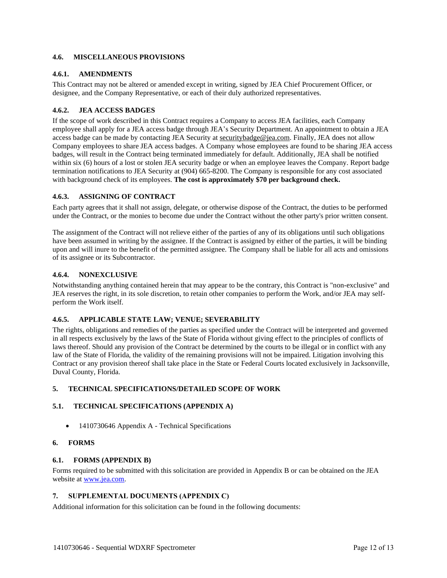## <span id="page-11-0"></span>**4.6. MISCELLANEOUS PROVISIONS**

## <span id="page-11-1"></span>**4.6.1. AMENDMENTS**

This Contract may not be altered or amended except in writing, signed by JEA Chief Procurement Officer, or designee, and the Company Representative, or each of their duly authorized representatives.

## <span id="page-11-2"></span>**4.6.2. JEA ACCESS BADGES**

If the scope of work described in this Contract requires a Company to access JEA facilities, each Company employee shall apply for a JEA access badge through JEA's Security Department. An appointment to obtain a JEA access badge can be made by contacting JEA Security at securitybadge@jea.com. Finally, JEA does not allow Company employees to share JEA access badges. A Company whose employees are found to be sharing JEA access badges, will result in the Contract being terminated immediately for default. Additionally, JEA shall be notified within six (6) hours of a lost or stolen JEA security badge or when an employee leaves the Company. Report badge termination notifications to JEA Security at (904) 665-8200. The Company is responsible for any cost associated with background check of its employees. **The cost is approximately \$70 per background check.**

# <span id="page-11-3"></span>**4.6.3. ASSIGNING OF CONTRACT**

Each party agrees that it shall not assign, delegate, or otherwise dispose of the Contract, the duties to be performed under the Contract, or the monies to become due under the Contract without the other party's prior written consent.

The assignment of the Contract will not relieve either of the parties of any of its obligations until such obligations have been assumed in writing by the assignee. If the Contract is assigned by either of the parties, it will be binding upon and will inure to the benefit of the permitted assignee. The Company shall be liable for all acts and omissions of its assignee or its Subcontractor.

## <span id="page-11-4"></span>**4.6.4. NONEXCLUSIVE**

Notwithstanding anything contained herein that may appear to be the contrary, this Contract is "non-exclusive" and JEA reserves the right, in its sole discretion, to retain other companies to perform the Work, and/or JEA may selfperform the Work itself.

#### <span id="page-11-5"></span>**4.6.5. APPLICABLE STATE LAW; VENUE; SEVERABILITY**

The rights, obligations and remedies of the parties as specified under the Contract will be interpreted and governed in all respects exclusively by the laws of the State of Florida without giving effect to the principles of conflicts of laws thereof. Should any provision of the Contract be determined by the courts to be illegal or in conflict with any law of the State of Florida, the validity of the remaining provisions will not be impaired. Litigation involving this Contract or any provision thereof shall take place in the State or Federal Courts located exclusively in Jacksonville, Duval County, Florida.

# <span id="page-11-6"></span>**5. TECHNICAL SPECIFICATIONS/DETAILED SCOPE OF WORK**

# <span id="page-11-7"></span>**5.1. TECHNICAL SPECIFICATIONS (APPENDIX A)**

• 1410730646 Appendix A - Technical Specifications

#### <span id="page-11-8"></span>**6. FORMS**

#### <span id="page-11-9"></span>**6.1. FORMS (APPENDIX B)**

Forms required to be submitted with this solicitation are provided in Appendix B or can be obtained on the JEA website at [www.jea.com.](http://www.jea.com/)

## <span id="page-11-10"></span>**7. SUPPLEMENTAL DOCUMENTS (APPENDIX C)**

Additional information for this solicitation can be found in the following documents: